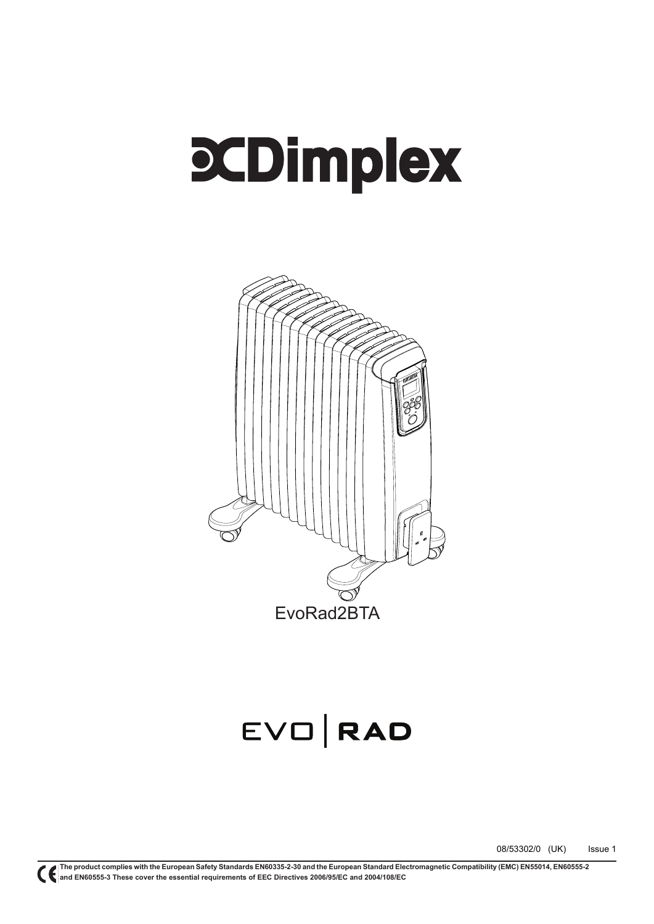# **PCDimplex**



## EVO RAD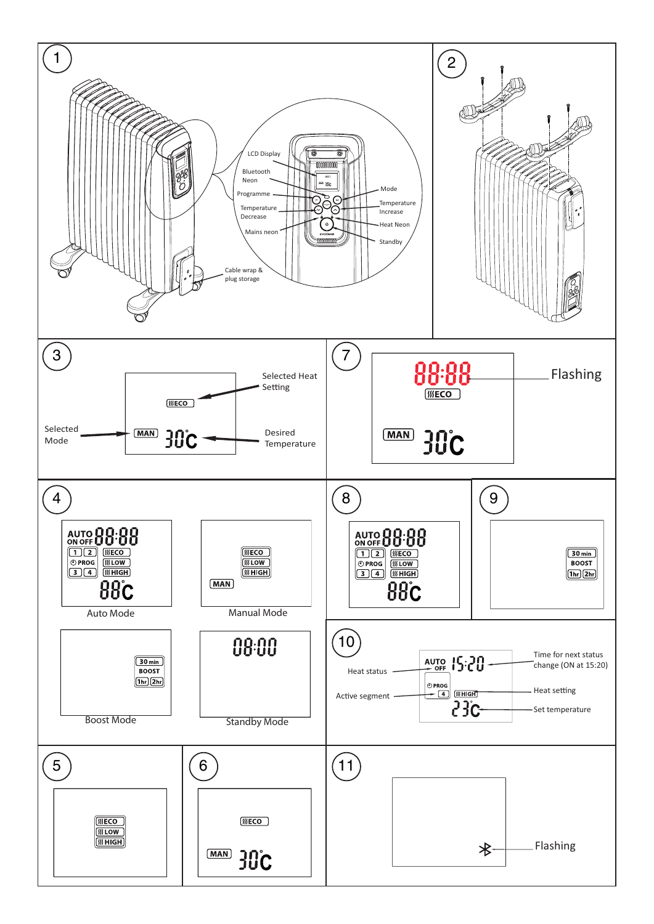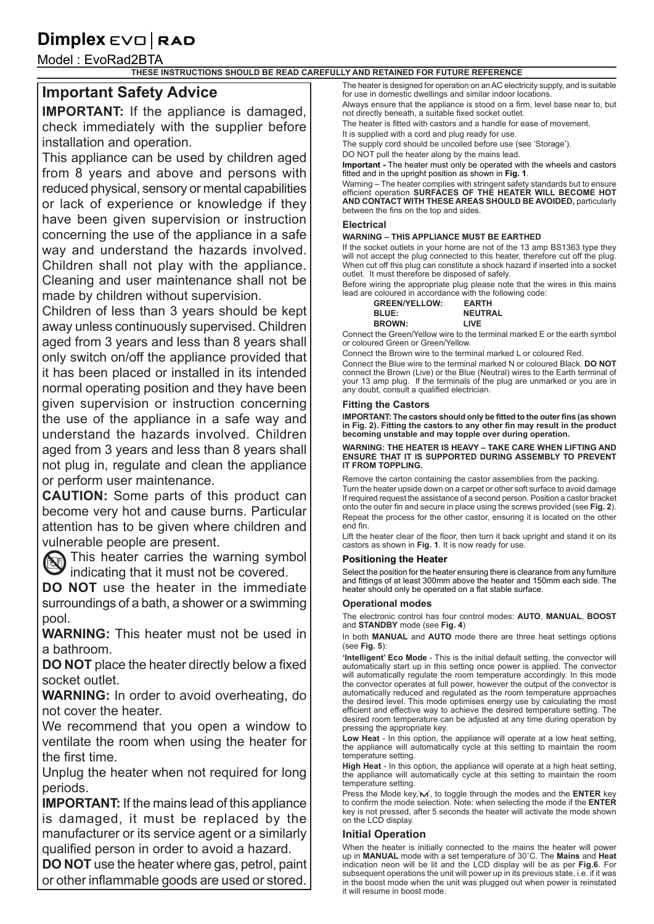### **Dimplex**  $E$  $\vee$  $\Box$  **RAD**

Model : EvoRad2BTA

**THESE INSTRUCTIONS SHOULD BE READ CAREFULLY AND RETAINED FOR FUTURE REFERENCE**

#### **Important Safety Advice**

**IMPORTANT:** If the appliance is damaged, check immediately with the supplier before installation and operation.

This appliance can be used by children aged from 8 years and above and persons with reduced physical, sensory or mental capabilities or lack of experience or knowledge if they have been given supervision or instruction concerning the use of the appliance in a safe way and understand the hazards involved. Children shall not play with the appliance. Cleaning and user maintenance shall not be made by children without supervision.

Children of less than 3 years should be kept away unless continuously supervised. Children aged from 3 years and less than 8 years shall only switch on/off the appliance provided that it has been placed or installed in its intended normal operating position and they have been given supervision or instruction concerning the use of the appliance in a safe way and understand the hazards involved. Children aged from 3 years and less than 8 years shall not plug in, regulate and clean the appliance or perform user maintenance.

**CAUTION:** Some parts of this product can become very hot and cause burns. Particular attention has to be given where children and vulnerable people are present.

This heater carries the warning symbol indicating that it must not be covered.

**DO NOT** use the heater in the immediate surroundings of a bath, a shower or a swimming pool.

**WARNING:** This heater must not be used in a bathroom.

**DO NOT** place the heater directly below a fixed socket outlet.

**WARNING:** In order to avoid overheating, do not cover the heater.

We recommend that you open a window to ventilate the room when using the heater for the first time.

Unplug the heater when not required for long periods.

**IMPORTANT:** If the mains lead of this appliance is damaged, it must be replaced by the manufacturer or its service agent or a similarly qualified person in order to avoid a hazard.

**DO NOT** use the heater where gas, petrol, paint or other inflammable goods are used or stored.

The heater is designed for operation on an AC electricity supply, and is suitable for use in domestic dwellings and similar indoor locations.

Always ensure that the appliance is stood on a firm, level base near to, but not directly beneath, a suitable fixed socket outlet.

The heater is fitted with castors and a handle for ease of movement.

It is supplied with a cord and plug ready for use.

The supply cord should be uncoiled before use (see 'Storage').

DO NOT pull the heater along by the mains lead.

**Important -** The heater must only be operated with the wheels and castors fitted and in the upright position as shown in **Fig. 1**.

Warning – The heater complies with stringent safety standards but to ensure efficient operation **SURFACES OF THE HEATER WILL BECOME HOT AND CONTACT WITH THESE AREAS SHOULD BE AVOIDED,** particularly between the fins on the top and sides.

#### **Electrical**

#### **WARNING – THIS APPLIANCE MUST BE EARTHED**

If the socket outlets in your home are not of the 13 amp BS1363 type they will not accept the plug connected to this heater, therefore cut off the plug. When cut off this plug can constitute a shock hazard if inserted into a socket outlet. It must therefore be disposed of safely.

Before wiring the appropriate plug please note that the wires in this mains lead are coloured in accordance with the following code:

| <b>GREEN/YELLOW:</b> | <b>EARTH</b>   |
|----------------------|----------------|
| <b>BLUE:</b>         | <b>NEUTRAL</b> |
| <b>BROWN:</b>        | <b>LIVE</b>    |

Connect the Green/Yellow wire to the terminal marked E or the earth symbol or coloured Green or Green/Yellow.

Connect the Brown wire to the terminal marked L or coloured Red.

Connect the Blue wire to the terminal marked N or coloured Black. **DO NOT**  connect the Brown (Live) or the Blue (Neutral) wires to the Earth terminal of your 13 amp plug. If the terminals of the plug are unmarked or you are in any doubt, consult a qualified electrician.

#### **Fitting the Castors**

**IMPORTANT: The castors should only be fitted to the outer fins (as shown in Fig. 2). Fitting the castors to any other fin may result in the product becoming unstable and may topple over during operation.** 

#### **WARNING: THE HEATER IS HEAVY – TAKE CARE WHEN LIFTING AND ENSURE THAT IT IS SUPPORTED DURING ASSEMBLY TO PREVENT IT FROM TOPPLING.**

Remove the carton containing the castor assemblies from the packing. Turn the heater upside down on a carpet or other soft surface to avoid damage If required request the assistance of a second person. Position a castor bracket onto the outer fin and secure in place using the screws provided (see **Fig. 2**). Repeat the process for the other castor, ensuring it is located on the other end fin.

Lift the heater clear of the floor, then turn it back upright and stand it on its castors as shown in **Fig. 1**. It is now ready for use.

#### **Positioning the Heater**

Select the position for the heater ensuring there is clearance from any furniture and fittings of at least 300mm above the heater and 150mm each side. The heater should only be operated on a flat stable surface.

#### **Operational modes**

The electronic control has four control modes: **AUTO**, **MANUAL**, **BOOST** and **STANDBY** mode (see **Fig. 4**)

In both **MANUAL** and **AUTO** mode there are three heat settings options (see **Fig. 5**):

**'Intelligent' Eco Mode** - This is the initial default setting, the convector will automatically start up in this setting once power is applied. The convector will automatically regulate the room temperature accordingly. In this mode the convector operates at full power, however the output of the convector is automatically reduced and regulated as the room temperature approaches the desired level. This mode optimises energy use by calculating the most efficient and effective way to achieve the desired temperature setting. The desired room temperature can be adjusted at any time during operation by pressing the appropriate key.

**Low Heat** - In this option, the appliance will operate at a low heat setting, the appliance will automatically cycle at this setting to maintain the room temperature setting.

**High Heat** - In this option, the appliance will operate at a high heat setting, the appliance will automatically cycle at this setting to maintain the room temperature setting.

Press the Mode key,'M', to toggle through the modes and the **ENTER** key to confirm the mode selection. Note: when selecting the mode if the **ENTER** key is not pressed, after 5 seconds the heater will activate the mode shown on the LCD display.

#### **Initial Operation**

When the heater is initially connected to the mains the heater will power up in **MANUAL** mode with a set temperature of 30˚C. The **Mains** and **Heat**  indication neon will be lit and the LCD display will be as per **Fig.6**. For subsequent operations the unit will power up in its previous state, i.e. if it was in the boost mode when the unit was plugged out when power is reinstated it will resume in boost mode.